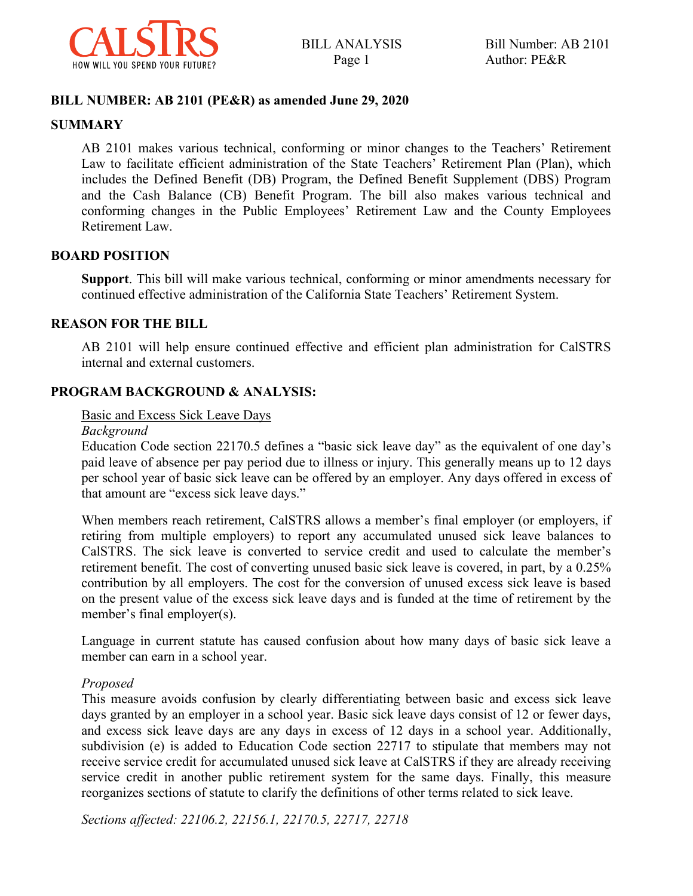

#### **BILL NUMBER: AB 2101 (PE&R) as amended June 29, 2020**

#### **SUMMARY**

AB 2101 makes various technical, conforming or minor changes to the Teachers' Retirement Law to facilitate efficient administration of the State Teachers' Retirement Plan (Plan), which includes the Defined Benefit (DB) Program, the Defined Benefit Supplement (DBS) Program and the Cash Balance (CB) Benefit Program. The bill also makes various technical and conforming changes in the Public Employees' Retirement Law and the County Employees Retirement Law.

#### **BOARD POSITION**

**Support**. This bill will make various technical, conforming or minor amendments necessary for continued effective administration of the California State Teachers' Retirement System.

#### **REASON FOR THE BILL**

AB 2101 will help ensure continued effective and efficient plan administration for CalSTRS internal and external customers.

#### **PROGRAM BACKGROUND & ANALYSIS:**

Basic and Excess Sick Leave Days

#### *Background*

Education Code section 22170.5 defines a "basic sick leave day" as the equivalent of one day's paid leave of absence per pay period due to illness or injury. This generally means up to 12 days per school year of basic sick leave can be offered by an employer. Any days offered in excess of that amount are "excess sick leave days."

When members reach retirement, CalSTRS allows a member's final employer (or employers, if retiring from multiple employers) to report any accumulated unused sick leave balances to CalSTRS. The sick leave is converted to service credit and used to calculate the member's retirement benefit. The cost of converting unused basic sick leave is covered, in part, by a 0.25% contribution by all employers. The cost for the conversion of unused excess sick leave is based on the present value of the excess sick leave days and is funded at the time of retirement by the member's final employer(s).

Language in current statute has caused confusion about how many days of basic sick leave a member can earn in a school year.

#### *Proposed*

This measure avoids confusion by clearly differentiating between basic and excess sick leave days granted by an employer in a school year. Basic sick leave days consist of 12 or fewer days, and excess sick leave days are any days in excess of 12 days in a school year. Additionally, subdivision (e) is added to Education Code section 22717 to stipulate that members may not receive service credit for accumulated unused sick leave at CalSTRS if they are already receiving service credit in another public retirement system for the same days. Finally, this measure reorganizes sections of statute to clarify the definitions of other terms related to sick leave.

*Sections affected: 22106.2, 22156.1, 22170.5, 22717, 22718*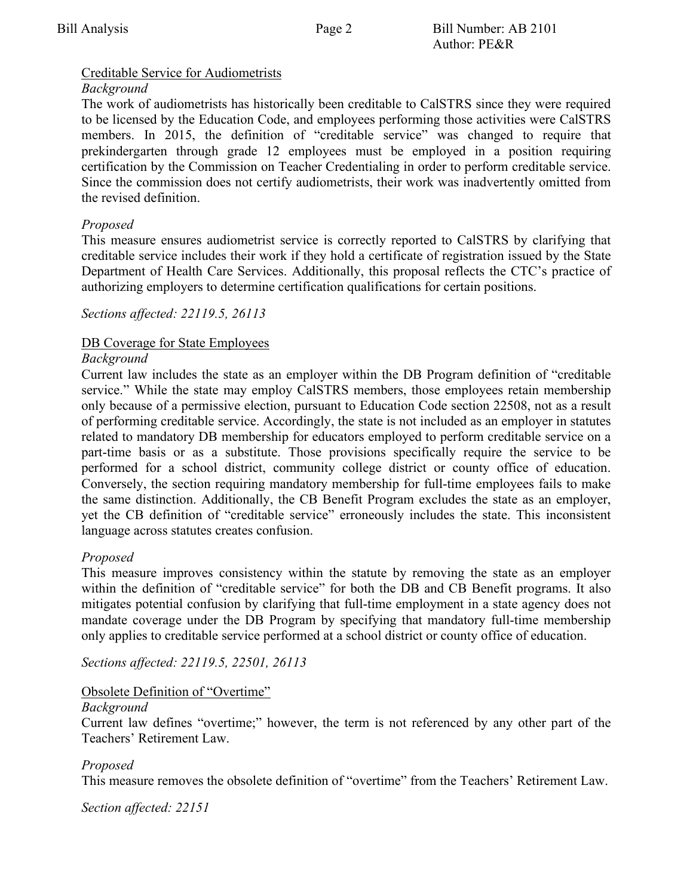# Creditable Service for Audiometrists

# *Background*

The work of audiometrists has historically been creditable to CalSTRS since they were required to be licensed by the Education Code, and employees performing those activities were CalSTRS members. In 2015, the definition of "creditable service" was changed to require that prekindergarten through grade 12 employees must be employed in a position requiring certification by the Commission on Teacher Credentialing in order to perform creditable service. Since the commission does not certify audiometrists, their work was inadvertently omitted from the revised definition.

# *Proposed*

This measure ensures audiometrist service is correctly reported to CalSTRS by clarifying that creditable service includes their work if they hold a certificate of registration issued by the State Department of Health Care Services. Additionally, this proposal reflects the CTC's practice of authorizing employers to determine certification qualifications for certain positions.

# *Sections affected: 22119.5, 26113*

# DB Coverage for State Employees

# *Background*

Current law includes the state as an employer within the DB Program definition of "creditable service." While the state may employ CalSTRS members, those employees retain membership only because of a permissive election, pursuant to Education Code section 22508, not as a result of performing creditable service. Accordingly, the state is not included as an employer in statutes related to mandatory DB membership for educators employed to perform creditable service on a part-time basis or as a substitute. Those provisions specifically require the service to be performed for a school district, community college district or county office of education. Conversely, the section requiring mandatory membership for full-time employees fails to make the same distinction. Additionally, the CB Benefit Program excludes the state as an employer, yet the CB definition of "creditable service" erroneously includes the state. This inconsistent language across statutes creates confusion.

# *Proposed*

This measure improves consistency within the statute by removing the state as an employer within the definition of "creditable service" for both the DB and CB Benefit programs. It also mitigates potential confusion by clarifying that full-time employment in a state agency does not mandate coverage under the DB Program by specifying that mandatory full-time membership only applies to creditable service performed at a school district or county office of education.

*Sections affected: 22119.5, 22501, 26113*

# Obsolete Definition of "Overtime"

# *Background*

Current law defines "overtime;" however, the term is not referenced by any other part of the Teachers' Retirement Law.

# *Proposed*

This measure removes the obsolete definition of "overtime" from the Teachers' Retirement Law.

*Section affected: 22151*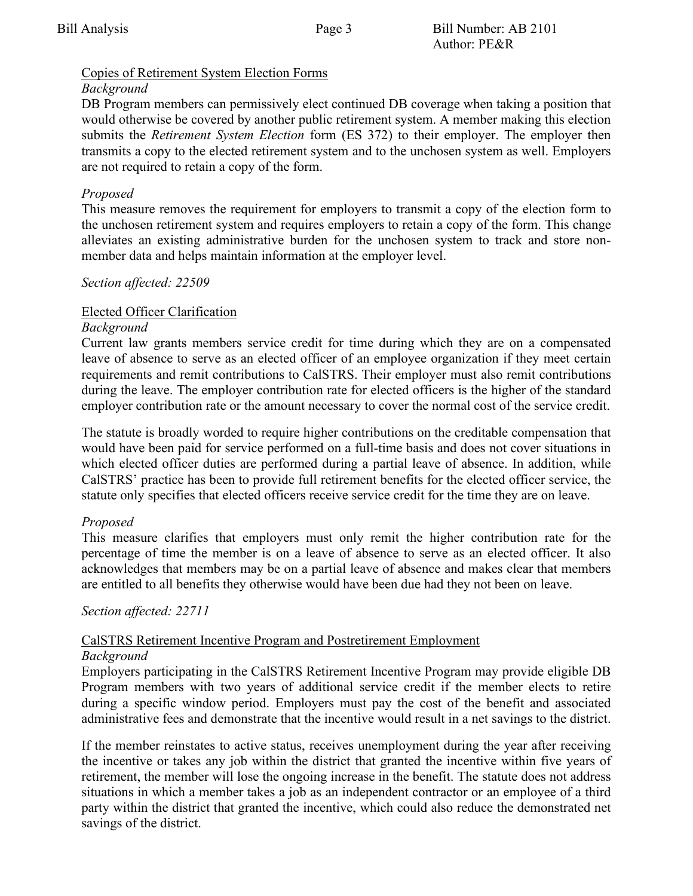# Copies of Retirement System Election Forms

# *Background*

DB Program members can permissively elect continued DB coverage when taking a position that would otherwise be covered by another public retirement system. A member making this election submits the *Retirement System Election* form (ES 372) to their employer. The employer then transmits a copy to the elected retirement system and to the unchosen system as well. Employers are not required to retain a copy of the form.

# *Proposed*

This measure removes the requirement for employers to transmit a copy of the election form to the unchosen retirement system and requires employers to retain a copy of the form. This change alleviates an existing administrative burden for the unchosen system to track and store nonmember data and helps maintain information at the employer level.

# *Section affected: 22509*

# Elected Officer Clarification

# *Background*

Current law grants members service credit for time during which they are on a compensated leave of absence to serve as an elected officer of an employee organization if they meet certain requirements and remit contributions to CalSTRS. Their employer must also remit contributions during the leave. The employer contribution rate for elected officers is the higher of the standard employer contribution rate or the amount necessary to cover the normal cost of the service credit.

The statute is broadly worded to require higher contributions on the creditable compensation that would have been paid for service performed on a full-time basis and does not cover situations in which elected officer duties are performed during a partial leave of absence. In addition, while CalSTRS' practice has been to provide full retirement benefits for the elected officer service, the statute only specifies that elected officers receive service credit for the time they are on leave.

# *Proposed*

This measure clarifies that employers must only remit the higher contribution rate for the percentage of time the member is on a leave of absence to serve as an elected officer. It also acknowledges that members may be on a partial leave of absence and makes clear that members are entitled to all benefits they otherwise would have been due had they not been on leave.

# *Section affected: 22711*

#### CalSTRS Retirement Incentive Program and Postretirement Employment *Background*

Employers participating in the CalSTRS Retirement Incentive Program may provide eligible DB Program members with two years of additional service credit if the member elects to retire during a specific window period. Employers must pay the cost of the benefit and associated administrative fees and demonstrate that the incentive would result in a net savings to the district.

If the member reinstates to active status, receives unemployment during the year after receiving the incentive or takes any job within the district that granted the incentive within five years of retirement, the member will lose the ongoing increase in the benefit. The statute does not address situations in which a member takes a job as an independent contractor or an employee of a third party within the district that granted the incentive, which could also reduce the demonstrated net savings of the district.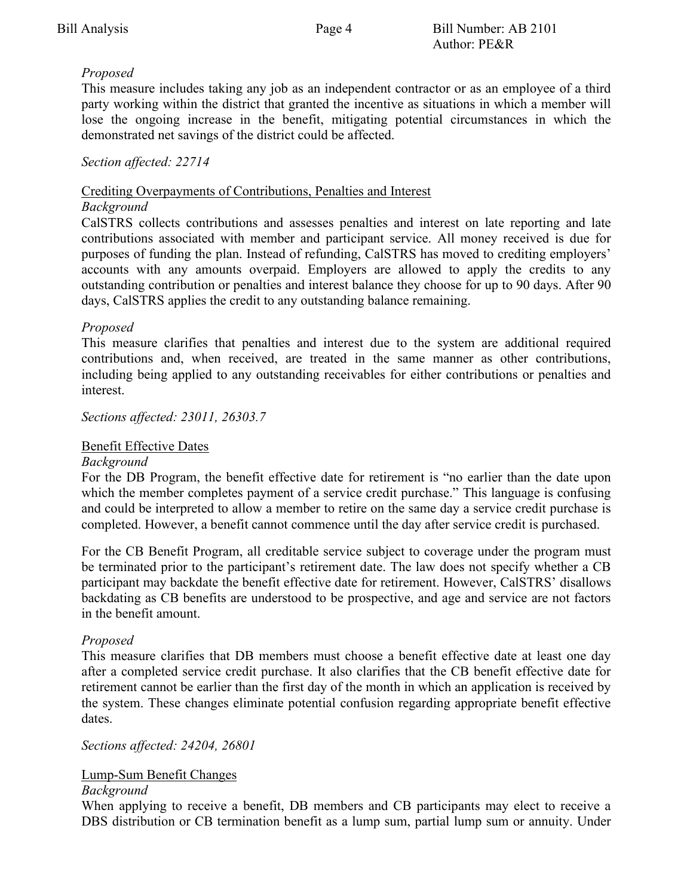# *Proposed*

This measure includes taking any job as an independent contractor or as an employee of a third party working within the district that granted the incentive as situations in which a member will lose the ongoing increase in the benefit, mitigating potential circumstances in which the demonstrated net savings of the district could be affected.

# *Section affected: 22714*

# Crediting Overpayments of Contributions, Penalties and Interest

#### *Background*

CalSTRS collects contributions and assesses penalties and interest on late reporting and late contributions associated with member and participant service. All money received is due for purposes of funding the plan. Instead of refunding, CalSTRS has moved to crediting employers' accounts with any amounts overpaid. Employers are allowed to apply the credits to any outstanding contribution or penalties and interest balance they choose for up to 90 days. After 90 days, CalSTRS applies the credit to any outstanding balance remaining.

# *Proposed*

This measure clarifies that penalties and interest due to the system are additional required contributions and, when received, are treated in the same manner as other contributions, including being applied to any outstanding receivables for either contributions or penalties and interest.

*Sections affected: 23011, 26303.7*

# Benefit Effective Dates

# *Background*

For the DB Program, the benefit effective date for retirement is "no earlier than the date upon which the member completes payment of a service credit purchase." This language is confusing and could be interpreted to allow a member to retire on the same day a service credit purchase is completed. However, a benefit cannot commence until the day after service credit is purchased.

For the CB Benefit Program, all creditable service subject to coverage under the program must be terminated prior to the participant's retirement date. The law does not specify whether a CB participant may backdate the benefit effective date for retirement. However, CalSTRS' disallows backdating as CB benefits are understood to be prospective, and age and service are not factors in the benefit amount.

# *Proposed*

This measure clarifies that DB members must choose a benefit effective date at least one day after a completed service credit purchase. It also clarifies that the CB benefit effective date for retirement cannot be earlier than the first day of the month in which an application is received by the system. These changes eliminate potential confusion regarding appropriate benefit effective dates.

# *Sections affected: 24204, 26801*

# Lump-Sum Benefit Changes

# *Background*

When applying to receive a benefit, DB members and CB participants may elect to receive a DBS distribution or CB termination benefit as a lump sum, partial lump sum or annuity. Under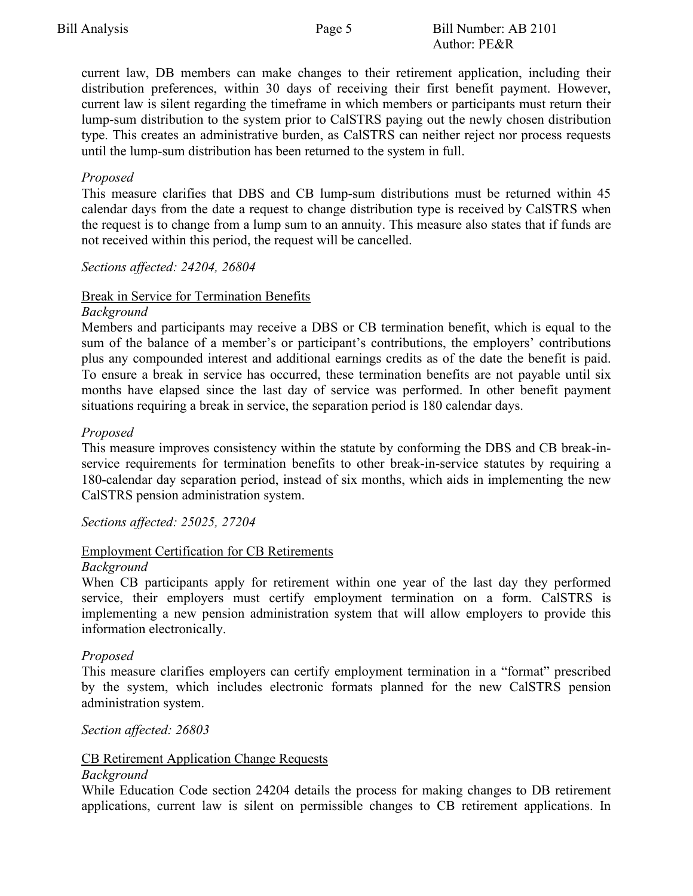current law, DB members can make changes to their retirement application, including their distribution preferences, within 30 days of receiving their first benefit payment. However, current law is silent regarding the timeframe in which members or participants must return their lump-sum distribution to the system prior to CalSTRS paying out the newly chosen distribution type. This creates an administrative burden, as CalSTRS can neither reject nor process requests until the lump-sum distribution has been returned to the system in full.

# *Proposed*

This measure clarifies that DBS and CB lump-sum distributions must be returned within 45 calendar days from the date a request to change distribution type is received by CalSTRS when the request is to change from a lump sum to an annuity. This measure also states that if funds are not received within this period, the request will be cancelled.

# *Sections affected: 24204, 26804*

# Break in Service for Termination Benefits

#### *Background*

Members and participants may receive a DBS or CB termination benefit, which is equal to the sum of the balance of a member's or participant's contributions, the employers' contributions plus any compounded interest and additional earnings credits as of the date the benefit is paid. To ensure a break in service has occurred, these termination benefits are not payable until six months have elapsed since the last day of service was performed. In other benefit payment situations requiring a break in service, the separation period is 180 calendar days.

# *Proposed*

This measure improves consistency within the statute by conforming the DBS and CB break-inservice requirements for termination benefits to other break-in-service statutes by requiring a 180-calendar day separation period, instead of six months, which aids in implementing the new CalSTRS pension administration system.

*Sections affected: 25025, 27204*

# Employment Certification for CB Retirements

# *Background*

When CB participants apply for retirement within one year of the last day they performed service, their employers must certify employment termination on a form. CalSTRS is implementing a new pension administration system that will allow employers to provide this information electronically.

# *Proposed*

This measure clarifies employers can certify employment termination in a "format" prescribed by the system, which includes electronic formats planned for the new CalSTRS pension administration system.

# *Section affected: 26803*

# CB Retirement Application Change Requests

#### *Background*

While Education Code section 24204 details the process for making changes to DB retirement applications, current law is silent on permissible changes to CB retirement applications. In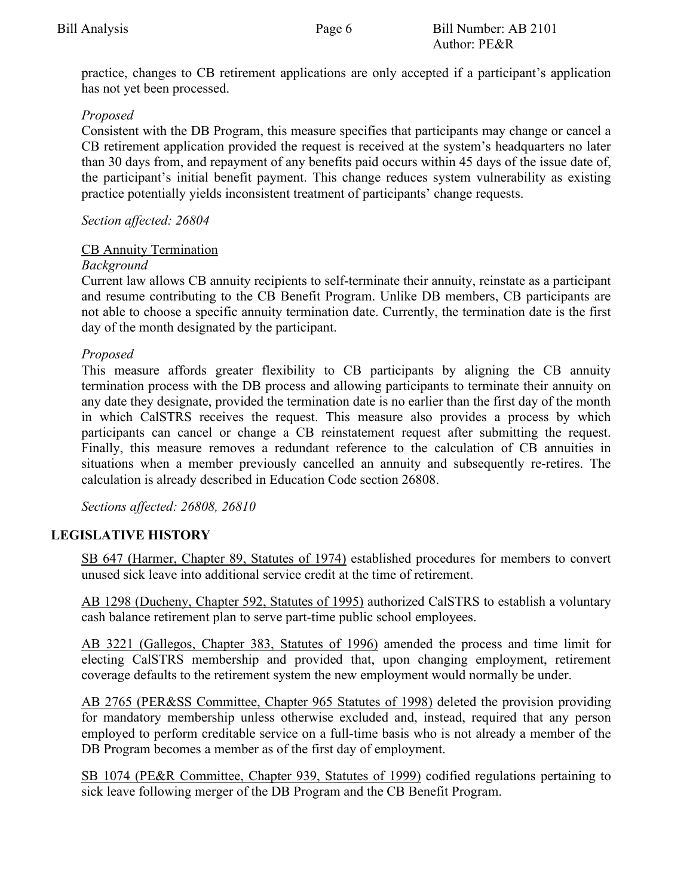practice, changes to CB retirement applications are only accepted if a participant's application has not yet been processed.

# *Proposed*

Consistent with the DB Program, this measure specifies that participants may change or cancel a CB retirement application provided the request is received at the system's headquarters no later than 30 days from, and repayment of any benefits paid occurs within 45 days of the issue date of, the participant's initial benefit payment. This change reduces system vulnerability as existing practice potentially yields inconsistent treatment of participants' change requests.

# *Section affected: 26804*

# CB Annuity Termination

# *Background*

Current law allows CB annuity recipients to self-terminate their annuity, reinstate as a participant and resume contributing to the CB Benefit Program. Unlike DB members, CB participants are not able to choose a specific annuity termination date. Currently, the termination date is the first day of the month designated by the participant.

# *Proposed*

This measure affords greater flexibility to CB participants by aligning the CB annuity termination process with the DB process and allowing participants to terminate their annuity on any date they designate, provided the termination date is no earlier than the first day of the month in which CalSTRS receives the request. This measure also provides a process by which participants can cancel or change a CB reinstatement request after submitting the request. Finally, this measure removes a redundant reference to the calculation of CB annuities in situations when a member previously cancelled an annuity and subsequently re-retires. The calculation is already described in Education Code section 26808.

*Sections affected: 26808, 26810* 

# **LEGISLATIVE HISTORY**

SB 647 (Harmer, Chapter 89, Statutes of 1974) established procedures for members to convert unused sick leave into additional service credit at the time of retirement.

AB 1298 (Ducheny, Chapter 592, Statutes of 1995) authorized CalSTRS to establish a voluntary cash balance retirement plan to serve part-time public school employees.

AB 3221 (Gallegos, Chapter 383, Statutes of 1996) amended the process and time limit for electing CalSTRS membership and provided that, upon changing employment, retirement coverage defaults to the retirement system the new employment would normally be under.

AB 2765 (PER&SS Committee, Chapter 965 Statutes of 1998) deleted the provision providing for mandatory membership unless otherwise excluded and, instead, required that any person employed to perform creditable service on a full-time basis who is not already a member of the DB Program becomes a member as of the first day of employment.

SB 1074 (PE&R Committee, Chapter 939, Statutes of 1999) codified regulations pertaining to sick leave following merger of the DB Program and the CB Benefit Program.